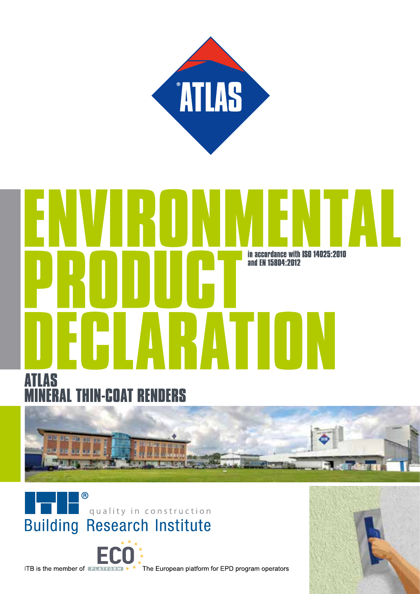

# in accordance with ISO 14025:2010 and EN 15804:2012 RAT







ITB is the member of **PLATFORM**  $*$   $*$  The European platform for EPD program operators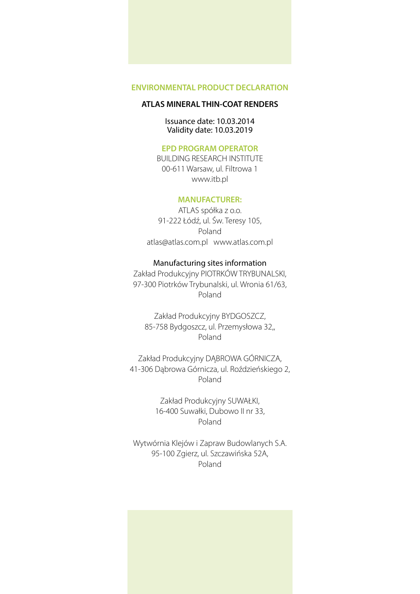### **ATLAS MINERAL THIN-COAT RENDERS**

### Issuance date: 10.03.2014 Validity date: 10.03.2019

### **EPD PROGRAM OPERATOR**

BUILDING RESEARCH INSTITUTE 00-611 Warsaw, ul. Filtrowa 1 www.itb.pl

### **MANUFACTURER:**

ATLAS spółka z o.o. 91-222 Łódź, ul. Św. Teresy 105, Poland atlas@atlas.com.pl www.atlas.com.pl

### Manufacturing sites information

Zakład Produkcyjny PIOTRKÓW TRYBUNALSKI, 97-300 Piotrków Trybunalski, ul. Wronia 61/63, Poland

Zakład Produkcyjny BYDGOSZCZ, 85-758 Bydgoszcz, ul. Przemysłowa 32,, Poland

Zakład Produkcyjny DĄBROWA GÓRNICZA, 41-306 Dąbrowa Górnicza, ul. Roździeńskiego 2, Poland

> Zakład Produkcyjny SUWAŁKI, 16-400 Suwałki, Dubowo II nr 33, Poland

Wytwórnia Klejów i Zapraw Budowlanych S.A. 95-100 Zgierz, ul. Szczawińska 52A, Poland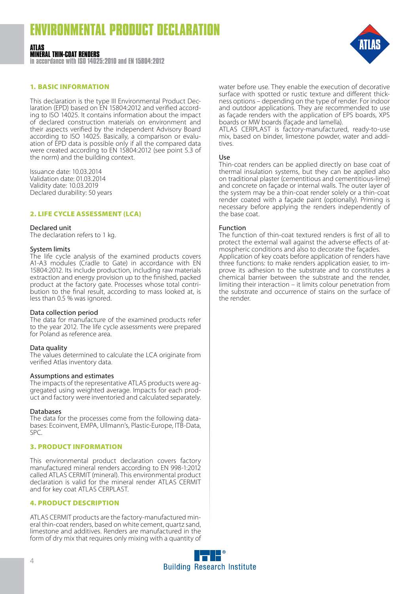#### **ATLAS MINERAL THIN-COAT RENDERS**

**in accordance with ISO 14025:2010 and EN 15804:2012**

### 1. BASIC INFORMATION

This declaration is the type III Environmental Product Declaration (EPD) based on EN 15804:2012 and verified according to ISO 14025. It contains information about the impact of declared construction materials on environment and their aspects verified by the independent Advisory Board according to ISO 14025. Basically, a comparison or evaluation of EPD data is possible only if all the compared data were created according to EN 15804:2012 (see point 5.3 of the norm) and the building context.

Issuance date: 10.03.2014 Validation date: 01.03.2014 Validity date: 10.03.2019 Declared durability: 50 years

### 2. LIFE CYCLE ASSESSMENT (LCA)

### Declared unit

The declaration refers to 1 kg.

### System limits

The life cycle analysis of the examined products covers A1-A3 modules (Cradle to Gate) in accordance with EN 15804:2012. Its include production, including raw materials extraction and energy provision up to the finished, packed product at the factory gate. Processes whose total contri- bution to the final result, according to mass looked at, is less than 0.5 % was ignored.

### Data collection period

The data for manufacture of the examined products refer to the year 2012. The life cycle assessments were prepared for Poland as reference area.

### Data quality

The values determined to calculate the LCA originate from verified Atlas inventory data.

### Assumptions and estimates

The impacts of the representative ATLAS products were aggregated using weighted average. Impacts for each product and factory were inventoried and calculated separately.

### Databases

The data for the processes come from the following databases: Ecoinvent, EMPA, Ullmann's, Plastic-Europe, ITB-Data, SPC.

### 3. PRODUCT INFORMATION

This environmental product declaration covers factory manufactured mineral renders according to EN 998-1:2012 called ATLAS CERMIT (mineral). This environmental product declaration is valid for the mineral render ATLAS CERMIT and for key coat ATLAS CERPLAST.

### 4. PRODUCT DESCRIPTION

ATLAS CERMIT products are the factory-manufactured mineral thin-coat renders, based on white cement, quartz sand, limestone and additives. Renders are manufactured in the form of dry mix that requires only mixing with a quantity of



water before use. They enable the execution of decorative surface with spotted or rustic texture and different thickness options – depending on the type of render. For indoor and outdoor applications. They are recommended to use as façade renders with the application of EPS boards, XPS boards or MW boards (façade and lamella).

ATLAS CERPLAST is factory-manufactured, ready-to-use mix, based on binder, limestone powder, water and addi- tives.

### Use

Thin-coat renders can be applied directly on base coat of thermal insulation systems, but they can be applied also on traditional plaster (cementitious and cementitious-lime) and concrete on façade or internal walls. The outer layer of the system may be a thin-coat render solely or a thin-coat render coated with a façade paint (optionally). Priming is necessary before applying the renders independently of the base coat.

### Function

The function of thin-coat textured renders is first of all to protect the external wall against the adverse effects of at- mospheric conditions and also to decorate the façades. Application of key coats before application of renders have three functions: to make renders application easier, to im- prove its adhesion to the substrate and to constitutes a chemical barrier between the substrate and the render, limiting their interaction – it limits colour penetration from the substrate and occurrence of stains on the surface of the render.

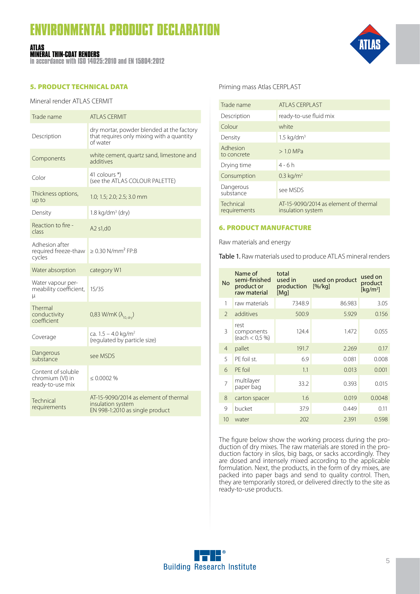## **IRONMENTAL PRODUCT DECLARAT**

#### **ATLAS MINERAL THIN-COAT RENDERS**

**in accordance with ISO 14025:2010 and EN 15804:2012**

### 5. PRODUCT TECHNICAL DATA

### Mineral render ATLAS CERMIT

| Trade name                                                 | ATI AS CERMIT                                                                                      |
|------------------------------------------------------------|----------------------------------------------------------------------------------------------------|
| Description                                                | dry mortar, powder blended at the factory<br>that requires only mixing with a quantity<br>of water |
| Components                                                 | white cement, quartz sand, limestone and<br>additives                                              |
| Color                                                      | 41 colours *)<br>(see the ATLAS COLOUR PALETTE)                                                    |
| Thickness options,<br>up to                                | 1.0; 1.5; 2.0; 2.5; 3.0 mm                                                                         |
| Density                                                    | 1.8 kg/dm <sup>3</sup> (dry)                                                                       |
| Reaction to fire -<br>class                                | A2 s1,d0                                                                                           |
| Adhesion after<br>required freeze-thaw<br>cycles           | $\geq$ 0.30 N/mm <sup>2</sup> FP:B                                                                 |
| Water absorption                                           | category W1                                                                                        |
| Water vapour per-<br>meability coefficient,<br>μ           | 15/35                                                                                              |
| Thermal<br>conductivity<br>coefficient                     | $0,83$ W/mK ( $\lambda_{10. drv}$ )                                                                |
| Coverage                                                   | ca. $1.5 - 4.0$ kg/m <sup>2</sup><br>(regulated by particle size)                                  |
| Dangerous<br>substance                                     | see MSDS                                                                                           |
| Content of soluble<br>chromium (VI) in<br>ready-to-use mix | $\leq 0.0002$ %                                                                                    |
| Technical<br>requirements                                  | AT-15-9090/2014 as element of thermal<br>insulation system<br>EN 998-1:2010 as single product      |

### Priming mass Atlas CERPLAST

| Trade name                | <b>ATLAS CERPLAST</b>                                      |
|---------------------------|------------------------------------------------------------|
| Description               | ready-to-use fluid mix                                     |
| Colour                    | white                                                      |
| Density                   | $1.5 \text{ kg/dm}^3$                                      |
| Adhesion<br>to concrete   | $>1.0$ MPa                                                 |
| Drying time               | $4 - 6h$                                                   |
| Consumption               | $0.3 \text{ kg/m}^2$                                       |
| Dangerous<br>substance    | see MSDS                                                   |
| Technical<br>requirements | AT-15-9090/2014 as element of thermal<br>insulation system |
|                           |                                                            |

### 6. PRODUCT MANUFACTURE

Raw materials and energy

Table 1. Raw materials used to produce ATLAS mineral renders

| <b>No</b>      | Name of<br>semi-finished<br>product or<br>raw material | total<br>used in<br>production<br>[Mq] | used on product<br>[%/kg] | used on<br>product<br>[kq/m <sup>2</sup> ] |
|----------------|--------------------------------------------------------|----------------------------------------|---------------------------|--------------------------------------------|
| 1              | raw materials                                          | 7348.9                                 | 86.983                    | 3.05                                       |
| $\mathcal{P}$  | additives                                              | 500.9                                  | 5.929                     | 0.156                                      |
| 3              | rest<br>components<br>(each < 0.5 %)                   | 124.4                                  | 1.472                     | 0.055                                      |
| $\overline{4}$ | pallet                                                 | 191.7                                  | 2.269                     | 0.17                                       |
| 5              | PF foil st.                                            | 6.9                                    | 0.081                     | 0.008                                      |
| 6              | PE foil                                                | 1.1                                    | 0.013                     | 0.001                                      |
| 7              | multilayer<br>paper bag                                | 33.2                                   | 0.393                     | 0.015                                      |
| 8              | carton spacer                                          | 1.6                                    | 0.019                     | 0.0048                                     |
| 9              | bucket                                                 | 37.9                                   | 0.449                     | 0.11                                       |
| 10             | water                                                  | 202                                    | 2.391                     | 0.598                                      |

The figure below show the working process during the production of dry mixes. The raw materials are stored in the production factory in silos, big bags, or sacks accordingly. They are dosed and intensely mixed according to the applicable formulation. Next, the products, in the form of dry mixes, are packed into paper bags and send to quality control. Then, they are temporarily stored, or delivered directly to the site as ready-to-use products.

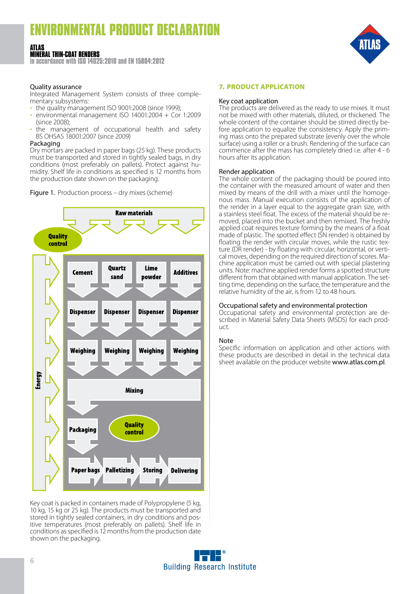#### **ATLAS MINERAL THIN-COAT RENDERS**

**in accordance with ISO 14025:2010 and EN 15804:2012**

### Quality assurance

Integrated Management System consists of three complementary subsystems:

- the quality management ISO 9001:2008 (since 1999);
- environmental management ISO 14001:2004 + Cor 1:2009 (since 2008);
- the management of occupational health and safety BS OHSAS 18001:2007 (since 2009)

### Packaging

Dry mortars are packed in paper bags (25 kg). These products must be transported and stored in tightly sealed bags, in dry conditions (most preferably on pallets). Protect against hu- midity. Shelf life in conditions as specified is 12 months from the production date shown on the packaging.

Figure 1. Production process - dry mixes (scheme)



Key coat is packed in containers made of Polypropylene (5 kg, 10 kg, 15 kg or 25 kg). The products must be transported and stored in tightly sealed containers, in dry conditions and positive temperatures (most preferably on pallets). Shelf life in conditions as specified is 12 months from the production date shown on the packaging.

### 7. PRODUCT APPLICATION

### Key coat application

The products are delivered as the ready to use mixes. It must not be mixed with other materials, diluted, or thickened. The whole content of the container should be stirred directly before application to equalize the consistency. Apply the priming mass onto the prepared substrate (evenly over the whole surface) using a roller or a brush. Rendering of the surface can commence after the mass has completely dried i.e. after 4 - 6 hours after its application.

### Render application

The whole content of the packaging should be poured into the container with the measured amount of water and then mixed by means of the drill with a mixer until the homoge- nous mass. Manual execution consists of the application of the render in a layer equal to the aggregate grain size, with a stainless steel float. The excess of the material should be re- moved, placed into the bucket and then remixed. The freshly applied coat requires texture forming by the means of a float made of plastic. The spotted effect (SN render) is obtained by floating the render with circular moves, while the rustic tex-<br>ture (DR render) - by floating with circular, horizontal, or verti-<br>cal moves, depending on the required direction of scores. Ma-<br>chine application must be car units. Note: machine applied render forms a spotted structure ting time, depending on the surface, the temperature and the relative humidity of the air, is from 12 to 48 hours.

**Occupational safety and environmental protection**<br>Occupational safety and environmental protection are described in Material Safety Data Sheets (MSDS) for each prod-<br>uct.

### Note

Specific information on application and other actions with these products are described in detail in the technical data sheet available on the producer website www.atlas.com.pl.

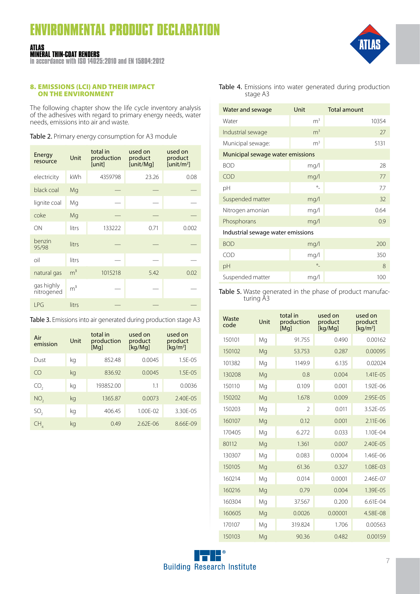#### **ATLAS MINERAL THIN-COAT RENDERS**

**in accordance with ISO 14025:2010 and EN 15804:2012**

### 8. EMISSIONS (LCI) AND THEIR IMPACT ON THE ENVIRONMENT

The following chapter show the life cycle inventory analysis of the adhesives with regard to primary energy needs, water needs, emissions into air and waste.

Table 2. Primary energy consumption for A3 module

| Energy<br>resource       | Unit           | total in<br>production<br>[unit] | used on<br>product<br>[unit/Mg] | used on<br>product<br>[unit/m <sup>2</sup> ] |
|--------------------------|----------------|----------------------------------|---------------------------------|----------------------------------------------|
| electricity              | kWh            | 4359798                          | 23.26                           | 0.08                                         |
| black coal               | Mg             |                                  |                                 |                                              |
| lignite coal             | Mg             |                                  |                                 |                                              |
| coke                     | Mg             |                                  |                                 |                                              |
| ON                       | litrs          | 133222                           | 0.71                            | 0.002                                        |
| benzin<br>95/98          | litrs          |                                  |                                 |                                              |
| oil                      | litrs          |                                  |                                 |                                              |
| natural gas              | m <sup>3</sup> | 1015218                          | 5.42                            | 0.02                                         |
| gas highly<br>nitrogened | m <sup>3</sup> |                                  |                                 |                                              |
| LPG                      | litrs          |                                  |                                 |                                              |

| Table 3. Emissions into air generated during production stage A3 |  |  |  |
|------------------------------------------------------------------|--|--|--|
|------------------------------------------------------------------|--|--|--|

| Air<br>emission | Unit | total in<br>production<br>[Mq] | used on<br>product<br>[kg/Mg] | used on<br>product<br>[ $kg/m2$ ] |
|-----------------|------|--------------------------------|-------------------------------|-----------------------------------|
| Dust            | kg   | 852.48                         | 0.0045                        | $1.5F - 0.5$                      |
| CO              | kq   | 836.92                         | 0.0045                        | $1.5F - 0.5$                      |
| CO.,            | kg   | 193852.00                      | 1.1                           | 0.0036                            |
| NO <sub>2</sub> | kq   | 1365.87                        | 0.0073                        | $2.40F - 0.5$                     |
| SO <sub>2</sub> | kg   | 406.45                         | $1.00F - 02$                  | 3.30F-05                          |
| CН              | kq   | 049                            | $2.62F - 06$                  | $8.66F-09$                        |

Table 4. Emissions into water generated during production stage A3

| Water and sewage                  | Unit           | <b>Total amount</b> |
|-----------------------------------|----------------|---------------------|
| Water                             | m <sup>3</sup> | 10354               |
| Industrial sewage                 | m <sup>3</sup> | 27                  |
| Municipal sewage:                 | m <sup>3</sup> | 5131                |
| Municipal sewage water emissions  |                |                     |
| <b>BOD</b>                        | mq/l           | 28                  |
| <b>COD</b>                        | mq/l           | 77                  |
| рH                                | $\circ$        | 7.7                 |
| Suspended matter                  | mg/l           | 32                  |
| Nitrogen amonian                  | mq/l           | 0.64                |
| Phosphorans                       | mq/l           | 0.9                 |
| Industrial sewage water emissions |                |                     |
| <b>BOD</b>                        | mq/l           | 200                 |
| <b>COD</b>                        | mg/l           | 350                 |
| pH                                | $\circ$        | 8                   |
| Suspended matter                  | mg/l           | 100                 |

Table 5. Waste generated in the phase of product manufacturing A3

| Waste<br>code | Unit | total in<br>production<br>[Mq] | used on<br>product<br>[kq/Mq] | used on<br>product<br>[kq/m <sup>2</sup> ] |
|---------------|------|--------------------------------|-------------------------------|--------------------------------------------|
| 150101        | Mg   | 91.755                         | 0.490                         | 0.00162                                    |
| 150102        | Mg   | 53.753                         | 0.287                         | 0.00095                                    |
| 101382        | Mg   | 1149.9                         | 6.135                         | 0.02024                                    |
| 130208        | Mg   | 0.8                            | 0.004                         | $1.41F - 0.5$                              |
| 150110        | Mg   | 0.109                          | 0.001                         | 1.92F-06                                   |
| 150202        | Mg   | 1.678                          | 0.009                         | 2.95E-05                                   |
| 150203        | Mg   | $\mathfrak{D}$                 | 0.011                         | 3.52F-05                                   |
| 160107        | Mg   | 0.12                           | 0.001                         | 2.11E-06                                   |
| 170405        | Mg   | 6.272                          | 0.033                         | $1.10F - 04$                               |
| 80112         | Mg   | 1.361                          | 0.007                         | $2.40F - 0.5$                              |
| 130307        | Mg   | 0.083                          | 0.0004                        | 1.46F-06                                   |
| 150105        | Mg   | 61.36                          | 0.327                         | 1.08F-03                                   |
| 160214        | Mg   | 0.014                          | 0.0001                        | 2.46F-07                                   |
| 160216        | Mg   | 0.79                           | 0.004                         | 1.39E-05                                   |
| 160304        | Mg   | 37.567                         | 0.200                         | $6.61F - 04$                               |
| 160605        | Mg   | 0.0026                         | 0.00001                       | 4.58E-08                                   |
| 170107        | Mg   | 319.824                        | 1.706                         | 0.00563                                    |
| 150103        | Mg   | 90.36                          | 0.482                         | 0.00159                                    |

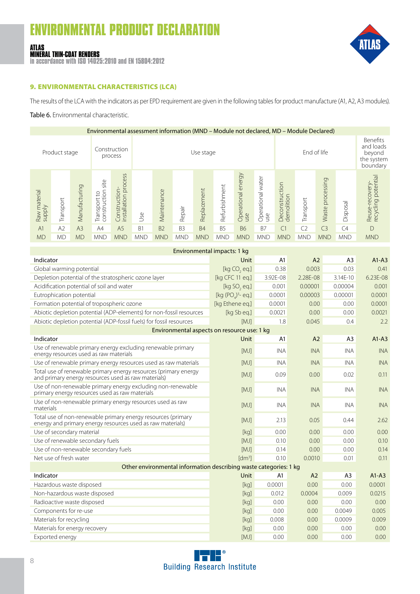#### **ATLAS MINERAL THIN-COAT RENDERS**

**in accordance with ISO 14025:2010 and EN 15804:2012**



### 9. ENVIRONMENTAL CHARACTERISTICS (LCA)

The results of the LCA with the indicators as per EPD requirement are given in the following tables for product manufacture (A1, A2, A3 modules).

### Table 6. Environmental characteristic.

| Environmental assessment information (MND – Module not declared, MD – Module Declared) |                |                |                                         |                                                 |                          |             |                |             |                |                                                           |                          |                              |                |                     |            |                                       |
|----------------------------------------------------------------------------------------|----------------|----------------|-----------------------------------------|-------------------------------------------------|--------------------------|-------------|----------------|-------------|----------------|-----------------------------------------------------------|--------------------------|------------------------------|----------------|---------------------|------------|---------------------------------------|
|                                                                                        | Product stage  |                |                                         | Construction<br>process                         | End of life<br>Use stage |             |                |             |                | Benefits<br>and loads<br>beyond<br>the system<br>boundary |                          |                              |                |                     |            |                                       |
| Raw material<br>supply                                                                 | Transport      | Manufacturing  | site<br>construction<br>S,<br>Transport | cess<br>pro<br>Construction-<br>installation pr | Jse                      | Maintenance | Repair         | Replacement | Refurbishment  | Operational energy<br>use                                 | Operational water<br>use | Deconstruction<br>demolition | Transport      | processing<br>Waste | Disposal   | Reuse-recovery-<br>recycling potentia |
| A <sub>1</sub>                                                                         | A <sub>2</sub> | A <sub>3</sub> | A4                                      | A <sub>5</sub>                                  | B <sub>1</sub>           | <b>B2</b>   | B <sub>3</sub> | <b>B4</b>   | B <sub>5</sub> | <b>B6</b>                                                 | <b>B7</b>                | C <sub>1</sub>               | C <sub>2</sub> | C <sub>3</sub>      | C4         | D                                     |
| <b>MD</b>                                                                              | <b>MD</b>      | <b>MD</b>      | <b>MND</b>                              | <b>MND</b>                                      | <b>MND</b>               | <b>MND</b>  | <b>MND</b>     | <b>MND</b>  | <b>MND</b>     | <b>MND</b>                                                | <b>MND</b>               | <b>MND</b>                   | <b>MND</b>     | <b>MND</b>          | <b>MND</b> | <b>MND</b>                            |

| Environmental impacts: 1 kg                                                                                                |                     |                |            |                |            |  |  |  |  |
|----------------------------------------------------------------------------------------------------------------------------|---------------------|----------------|------------|----------------|------------|--|--|--|--|
| Indicator                                                                                                                  | <b>Unit</b>         | A1             | A2         | A <sub>3</sub> | $A1 - A3$  |  |  |  |  |
| Global warming potential                                                                                                   | [kg CO, eq.]        | 0.38           | 0.003      | 0.03           | 0.41       |  |  |  |  |
| Depletion potential of the stratospheric ozone layer                                                                       | [kg CFC 11 eq.]     | 3.92E-08       | 2.28E-08   | 3.14E-10       | 6.23E-08   |  |  |  |  |
| Acidification potential of soil and water                                                                                  | [kg SO, eq.]        | 0.001          | 0.00001    | 0.00004        | 0.001      |  |  |  |  |
| Eutrophication potential                                                                                                   | [kg $(POa)3$ - eq.] | 0.0001         | 0.00003    | 0.00001        | 0.0001     |  |  |  |  |
| Formation potential of tropospheric ozone                                                                                  | [kg Ethene eq.]     | 0.0001         | 0.00       | 0.00           | 0.0001     |  |  |  |  |
| Abiotic depletion potential (ADP-elements) for non-fossil resources                                                        | [kg Sb eg.]         | 0.0021         | 0.00       | 0.00           | 0.0021     |  |  |  |  |
| Abiotic depletion potential (ADP-fossil fuels) for fossil resources                                                        | [MJ]                | 1.8            | 0.045      | 0.4            | 2.2        |  |  |  |  |
| Environmental aspects on resource use: 1 kg                                                                                |                     |                |            |                |            |  |  |  |  |
| Indicator                                                                                                                  | <b>Unit</b>         | A <sub>1</sub> | A2         | A <sub>3</sub> | $A1 - A3$  |  |  |  |  |
| Use of renewable primary energy excluding renewable primary<br>energy resources used as raw materials                      | [MJ]                | <b>INA</b>     | <b>INA</b> | <b>INA</b>     | <b>INA</b> |  |  |  |  |
| Use of renewable primary energy resources used as raw materials                                                            | [MJ]                | <b>INA</b>     | <b>INA</b> | <b>INA</b>     | <b>INA</b> |  |  |  |  |
| Total use of renewable primary energy resources (primary energy<br>and primary energy resources used as raw materials)     | [MJ]                | 0.09           | 0.00       | 0.02           | 0.11       |  |  |  |  |
| Use of non-renewable primary energy excluding non-renewable<br>primary energy resources used as raw materials              | [MJ]                | <b>INA</b>     | <b>INA</b> | <b>INA</b>     | <b>INA</b> |  |  |  |  |
| Use of non-renewable primary energy resources used as raw<br>materials                                                     | [MJ]                | <b>INA</b>     | <b>INA</b> | <b>INA</b>     | <b>INA</b> |  |  |  |  |
| Total use of non-renewable primary energy resources (primary<br>energy and primary energy resources used as raw materials) | [MJ]                | 2.13           | 0.05       | 0.44           | 2.62       |  |  |  |  |
| Use of secondary material                                                                                                  | [kq]                | 0.00           | 0.00       | 0.00           | 0.00       |  |  |  |  |
| Use of renewable secondary fuels                                                                                           | [MJ]                | 0.10           | 0.00       | 0.00           | 0.10       |  |  |  |  |
| Use of non-renewable secondary fuels                                                                                       | [MJ]                | 0.14           | 0.00       | 0.00           | 0.14       |  |  |  |  |
| Net use of fresh water                                                                                                     | [dm <sup>3</sup> ]  | 0.10           | 0.0010     | 0.01           | 0.11       |  |  |  |  |
| Other environmental information describing waste categories: 1 kg                                                          |                     |                |            |                |            |  |  |  |  |
| Indicator                                                                                                                  | <b>Unit</b>         | A1             | A2         | A <sub>3</sub> | $A1-A3$    |  |  |  |  |
| Hazardous waste disposed                                                                                                   | [kg]                | 0.0001         | 0.00       | 0.00           | 0.0001     |  |  |  |  |
| Non-hazardous waste disposed                                                                                               | [kg]                | 0.012          | 0.0004     | 0.009          | 0.0215     |  |  |  |  |
| Radioactive waste disposed                                                                                                 | [kg]                | 0.00           | 0.00       | 0.00           | 0.00       |  |  |  |  |
| Components for re-use                                                                                                      | [kg]                | 0.00           | 0.00       | 0.0049         | 0.005      |  |  |  |  |
| Materials for recycling                                                                                                    | [kg]                | 0.008          | 0.00       | 0.0009         | 0.009      |  |  |  |  |
| Materials for energy recovery                                                                                              | [kg]                | 0.00           | 0.00       | 0.00           | 0.00       |  |  |  |  |
| Exported energy                                                                                                            | [M]                 | 0.00           | 0.00       | 0.00           | 0.00       |  |  |  |  |

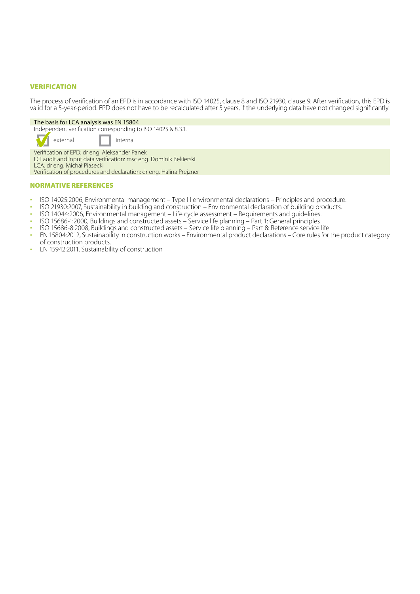### VERIFICATION

The process of verification of an EPD is in accordance with ISO 14025, clause 8 and ISO 21930, clause 9. After verification, this EPD is valid for a 5-year-period. EPD does not have to be recalculated after 5 years, if the underlying data have not changed significantly.

#### The basis for LCA analysis was EN 15804

Independent verification corresponding to ISO 14025 & 8.3.1.

external I internal

Verification of EPD: dr eng. Aleksander Panek LCI audit and input data verification: msc eng. Dominik Bekierski

LCA: dr eng. Michał Piasecki

Verification of procedures and declaration: dr eng. Halina Prejzner

### NORMATIVE REFERENCES

- 
- ISO 14025:2006, Environmental management Type III environmental declarations Principles and procedure.<br>• ISO 21930:2007, Sustainability in building and construction Environmental declaration of building products.<br>•
- 
- 
- 
- EN 15804:2012, Sustainability in construction works Environmental product declarations Core rules for the product category
- EN 15942:2011, Sustainability of construction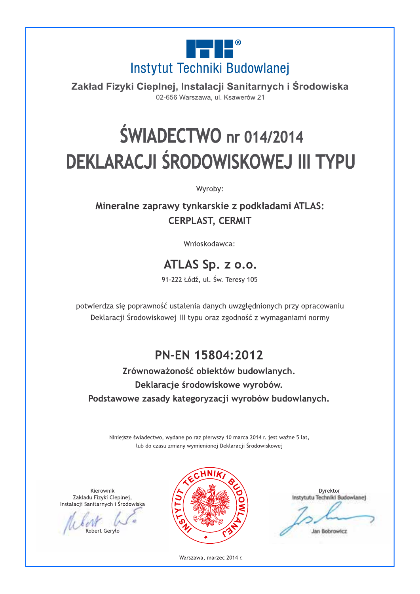

Zakład Fizyki Cieplnej, Instalacji Sanitarnych i Środowiska 02-656 Warszawa, ul. Ksawerów 21

# **ŚWIADECTWO** nr 014/2014 DEKLARACJI ŚRODOWISKOWEJ III TYPU

Wyroby:

Mineralne zaprawy tynkarskie z podkładami ATLAS: **CERPLAST, CERMIT** 

Wnioskodawca:

### ATLAS Sp. z o.o.

91-222 Łódź, ul. Św. Teresy 105

potwierdza się poprawność ustalenia danych uwzględnionych przy opracowaniu Deklaracji Środowiskowej III typu oraz zgodność z wymaganiami normy

### PN-EN 15804:2012

Zrównoważoność obiektów budowlanych. Deklaracje środowiskowe wyrobów. Podstawowe zasady kategoryzacji wyrobów budowlanych.

Niniejsze świadectwo, wydane po raz pierwszy 10 marca 2014 r. jest ważne 5 lat, lub do czasu zmiany wymienionej Deklaracji Środowiskowej

Kierownik Zakładu Fizyki Cieplnej, Instalacji Sanitarnych i Środowiska

Robert Geryko



Dyrektor Instytutu Techniki Budowlane) Jan Bobrowicz

Warszawa, marzec 2014 r.